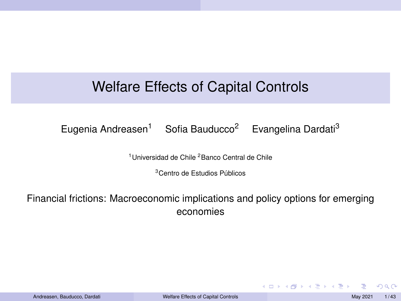## <span id="page-0-0"></span>Welfare Effects of Capital Controls

Eugenia Andreasen<sup>1</sup> Sofia Bauducco<sup>2</sup> Evangelina Dardati<sup>3</sup>

<sup>1</sup>Universidad de Chile <sup>2</sup>Banco Central de Chile

<sup>3</sup>Centro de Estudios Públicos

Financial frictions: Macroeconomic implications and policy options for emerging economies

 $\Omega$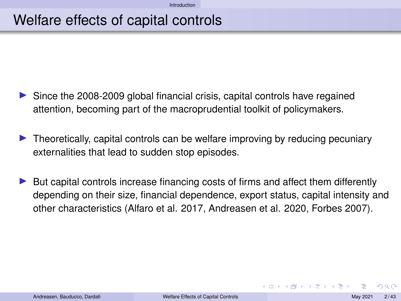### <span id="page-1-0"></span>Welfare effects of capital controls

- Since the 2008-2009 global financial crisis, capital controls have regained attention, becoming part of the macroprudential toolkit of policymakers.
- Interstandight Theoretically, capital controls can be welfare improving by reducing pecuniary externalities that lead to sudden stop episodes.
- $\blacktriangleright$  But capital controls increase financing costs of firms and affect them differently depending on their size, financial dependence, export status, capital intensity and other characteristics (Alfaro et al. 2017, Andreasen et al. 2020, Forbes 2007).

つのへ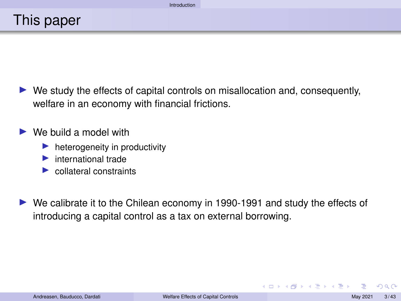$\triangleright$  We study the effects of capital controls on misallocation and, consequently, welfare in an economy with financial frictions.

We build a model with

- heterogeneity in productivity
- $\blacktriangleright$  international trade
- $\triangleright$  collateral constraints

I We calibrate it to the Chilean economy in 1990-1991 and study the effects of introducing a capital control as a tax on external borrowing.

 $2Q$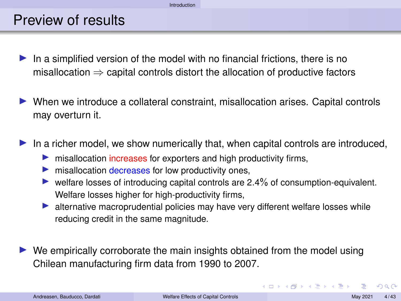### Preview of results

- In a simplified version of the model with no financial frictions, there is no misallocation  $\Rightarrow$  capital controls distort the allocation of productive factors
- I When we introduce a collateral constraint, misallocation arises. Capital controls may overturn it.
- In a richer model, we show numerically that, when capital controls are introduced,
	- $\blacktriangleright$  misallocation increases for exporters and high productivity firms,
	- misallocation decreases for low productivity ones,
	- $\triangleright$  welfare losses of introducing capital controls are 2.4% of consumption-equivalent. Welfare losses higher for high-productivity firms,
	- In alternative macroprudential policies may have very different welfare losses while reducing credit in the same magnitude.
- $\triangleright$  We empirically corroborate the main insights obtained from the model using Chilean manufacturing firm data from 1990 to 2007.

 $\Omega$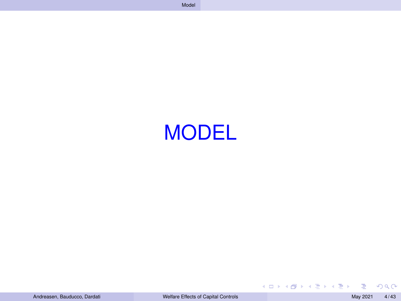<span id="page-4-0"></span>

 $2990$ 

E

イロンス 個 メスミンス ミン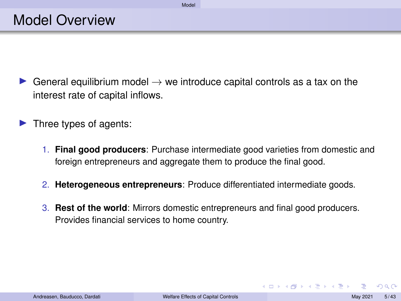- General equilibrium model  $\rightarrow$  we introduce capital controls as a tax on the interest rate of capital inflows.
- $\blacktriangleright$  Three types of agents:
	- 1. **Final good producers**: Purchase intermediate good varieties from domestic and foreign entrepreneurs and aggregate them to produce the final good.
	- 2. **Heterogeneous entrepreneurs**: Produce differentiated intermediate goods.
	- 3. **Rest of the world**: Mirrors domestic entrepreneurs and final good producers. Provides financial services to home country.

 $\Omega$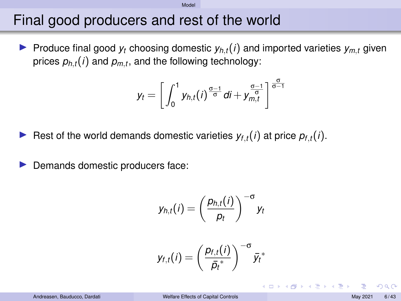### Final good producers and rest of the world

 $\blacktriangleright$  Produce final good  $y_t$  choosing domestic  $y_{h,t}(i)$  and imported varieties  $y_{m,t}$  given prices  $p_{h,t}(i)$  and  $p_{m,t}$ , and the following technology:

$$
y_t = \left[ \int_0^1 y_{h,t}(i)^{\frac{\sigma-1}{\sigma}} di + y_{m,t}^{\frac{\sigma-1}{\sigma}} \right]^{\frac{\sigma}{\sigma-1}}
$$

- Rest of the world demands domestic varieties  $y_{f,t}(i)$  at price  $p_{f,t}(i)$ .
- Demands domestic producers face:

$$
y_{h,t}(i) = \left(\frac{p_{h,t}(i)}{p_t}\right)^{-\sigma} y_t
$$

$$
y_{f,t}(i) = \left(\frac{p_{f,t}(i)}{\bar{p}_t^*}\right)^{-\sigma} \bar{y}_t^*
$$

つひひ

イロトス 倒 トス ヨ トス ヨ トー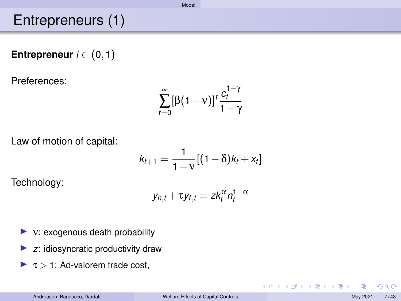## <span id="page-7-0"></span>Entrepreneurs (1)

**Entrepreneur**  $i \in (0,1)$ 

Preferences:

$$
\sum_{t=0}^{\infty} [\beta(1-\nu)]^t \frac{c_t^{1-\gamma}}{1-\gamma}
$$

Law of motion of capital:

$$
k_{t+1} = \frac{1}{1-v}[(1-\delta)k_t + x_t]
$$

Technology:

$$
y_{h,t} + \tau y_{f,t} = z k_t^{\alpha} n_t^{1-\alpha}
$$

- $\blacktriangleright$  v: exogenous death probability
- $\blacktriangleright$  *z*: idiosyncratic productivity draw
- $\blacktriangleright$   $\tau$  > 1: Ad-valorem trade cost,

 $2Q$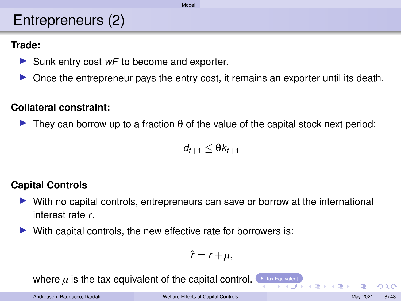## <span id="page-8-0"></span>Entrepreneurs (2)

#### <span id="page-8-1"></span>**Trade:**

- ▶ Sunk entry cost *wF* to become and exporter.
- $\triangleright$  Once the entrepreneur pays the entry cost, it remains an exporter until its death.

#### **Collateral constraint:**

**IDED** They can borrow up to a fraction  $\theta$  of the value of the capital stock next period:

$$
d_{t+1} \leq \theta k_{t+1}
$$

#### **Capital Controls**

- In With no capital controls, entrepreneurs can save or borrow at the international interest rate *r*.
- $\triangleright$  With capital controls, the new effective rate for borrowers is:

$$
\hat{r}=r+\mu,
$$

where  $\mu$  is the tax equivalent of the capital control. The Equivalent  $\rho$ 

 $\Omega$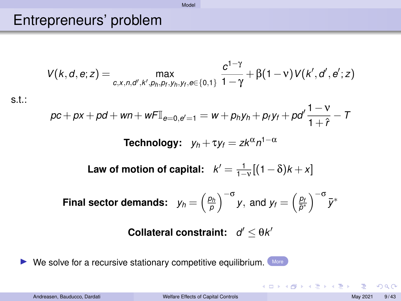#### <span id="page-9-1"></span><span id="page-9-0"></span>Entrepreneurs' problem

$$
V(k, d, e; z) = \max_{c, x, n, d', k', p_h, p_f, y_h, y_f, e \in \{0, 1\}} \frac{c^{1-\gamma}}{1-\gamma} + \beta(1-\nu)V(k', d', e'; z)
$$

[Model](#page-4-0)

s.t.:

$$
pc + px + pd + wn + wFI_{e=0, e'=1} = w + p_hy_h + p_fy_f + pd'\frac{1-v}{1+\hat{r}} - T
$$

**Technology:**  $y_h + \tau y_f = z k^{\alpha} n^{1-\alpha}$ 

Law of motion of capital:  $k' = \frac{1}{1-\nu}[(1-\delta)k + x]$ 

**Final sector demands:** 
$$
y_h = \left(\frac{p_h}{p}\right)^{-\sigma} y
$$
, and  $y_f = \left(\frac{p_f}{\bar{p}^*}\right)^{-\sigma} \bar{y}^*$ 

#### **Collateral constraint:**  $d' \leq \theta k'$

 $\triangleright$  We solve for a recursive stationary competitive equilibrium. [More](#page-35-0)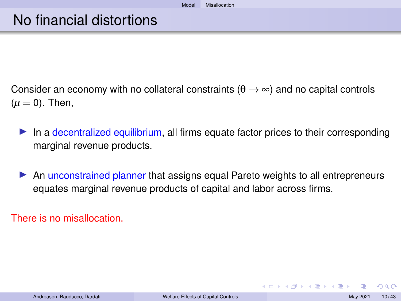- <span id="page-10-0"></span>Consider an economy with no collateral constraints ( $\theta \rightarrow \infty$ ) and no capital controls  $(\mu = 0)$ . Then,
	- In a decentralized equilibrium, all firms equate factor prices to their corresponding marginal revenue products.
	- An unconstrained planner that assigns equal Pareto weights to all entrepreneurs equates marginal revenue products of capital and labor across firms.

There is no misallocation.

 $\Omega$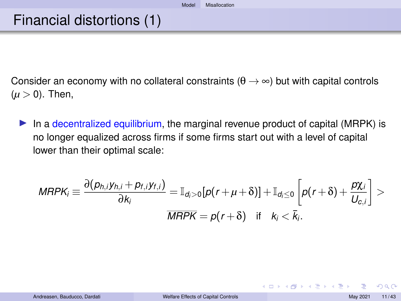### Financial distortions (1)

Consider an economy with no collateral constraints ( $\theta \rightarrow \infty$ ) but with capital controls  $(\mu > 0)$ . Then,

In a decentralized equilibrium, the marginal revenue product of capital (MRPK) is no longer equalized across firms if some firms start out with a level of capital lower than their optimal scale:

$$
MRPK_i \equiv \frac{\partial (p_{h,i}y_{h,i} + p_{f,i}y_{f,i})}{\partial k_i} = \mathbb{I}_{d_i>0}[p(r+\mu+\delta)] + \mathbb{I}_{d_i\leq 0}\left[p(r+\delta) + \frac{p\chi_i}{U_{c,i}}\right] > \frac{\partial k_i}{MRPK} = p(r+\delta) \quad \text{if} \quad k_i < \bar{k}_i.
$$

 $290$ 

イロメイタメ イミメイミメー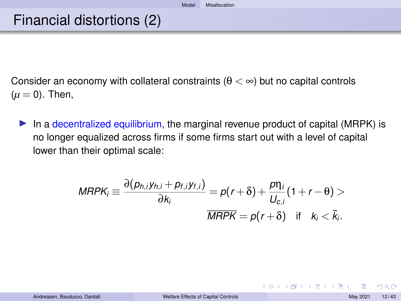### Financial distortions (2)

Consider an economy with collateral constraints ( $\theta < \infty$ ) but no capital controls  $(\mu = 0)$ . Then,

In a decentralized equilibrium, the marginal revenue product of capital (MRPK) is no longer equalized across firms if some firms start out with a level of capital lower than their optimal scale:

$$
MRPK_i \equiv \frac{\partial (p_{h,i}y_{h,i} + p_{f,i}y_{f,i})}{\partial k_i} = p(r+\delta) + \frac{p\eta_i}{U_{c,i}}(1+r-\theta) >
$$
  

$$
\overline{MRPK} = p(r+\delta) \quad \text{if} \quad k_i < \overline{k_i}.
$$

 $290$ 

**K ロ ⊁ K 伊 ⊁ K ミ ⊁ K ミ ⊁**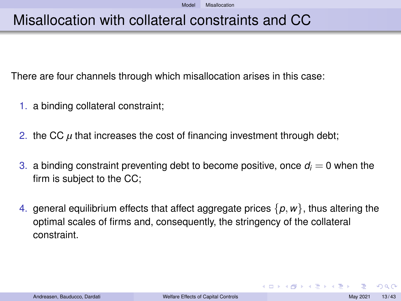## Misallocation with collateral constraints and CC

There are four channels through which misallocation arises in this case:

- 1. a binding collateral constraint;
- 2. the CC  $\mu$  that increases the cost of financing investment through debt;
- 3. a binding constraint preventing debt to become positive, once  $d_i = 0$  when the firm is subject to the CC;
- 4. general equilibrium effects that affect aggregate prices  $\{p, w\}$ , thus altering the optimal scales of firms and, consequently, the stringency of the collateral constraint.

 $QQ$ 

イロトス 倒 トス ヨ トス ヨ トー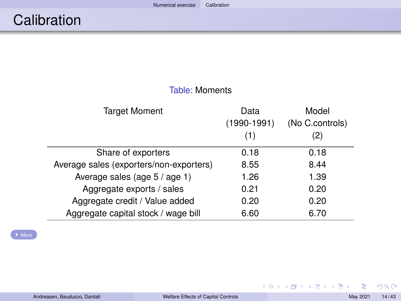<span id="page-14-1"></span><span id="page-14-0"></span>

| idule. Mullieliis                       |                              |                                 |  |  |
|-----------------------------------------|------------------------------|---------------------------------|--|--|
| Target Moment                           | Data<br>$(1990-1991)$<br>(1) | Model<br>(No C.controls)<br>(2) |  |  |
| Share of exporters                      | 0.18                         | 0.18                            |  |  |
| Average sales (exporters/non-exporters) | 8.55                         | 8.44                            |  |  |
| Average sales (age 5 / age 1)           | 1.26                         | 1.39                            |  |  |
| Aggregate exports / sales               | 0.21                         | 0.20                            |  |  |
| Aggregate credit / Value added          | 0.20                         | 0.20                            |  |  |
| Aggregate capital stock / wage bill     | 6.60                         | 6.70                            |  |  |

Table: Moments

[More](#page-45-1)

 $2990$ 

イロト イ団 トイモト イモト 一毛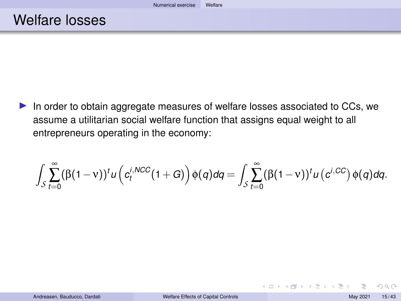<span id="page-15-0"></span> $\blacktriangleright$  In order to obtain aggregate measures of welfare losses associated to CCs, we assume a utilitarian social welfare function that assigns equal weight to all entrepreneurs operating in the economy:

$$
\int_{S}\sum_{t=0}^{\infty}(\beta(1-v))^{t}u\left(c_{t}^{i,NCC}(1+G)\right)\phi(q)dq=\int_{S}\sum_{t=0}^{\infty}(\beta(1-v))^{t}u\left(c^{i,CC}\right)\phi(q)dq.
$$

 $\Omega$ 

**K ロ ▶ K 御 ▶ K ヨ ▶ K ヨ ▶**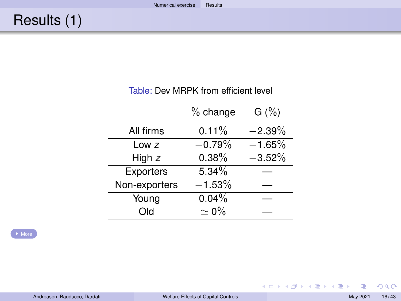#### Table: Dev MRPK from efficient level

<span id="page-16-1"></span><span id="page-16-0"></span>

|                  | $%$ change  | G(%)      |
|------------------|-------------|-----------|
| All firms        | $0.11\%$    | $-2.39%$  |
| Low $z$          | $-0.79%$    | $-1.65\%$ |
| High $z$         | 0.38%       | $-3.52%$  |
| <b>Exporters</b> | 5.34%       |           |
| Non-exporters    | $-1.53%$    |           |
| Young            | 0.04%       |           |
| Old              | $\simeq$ 0% |           |

E

 $299$ 

メロトメ 御 トメ 君 トメ 君 トー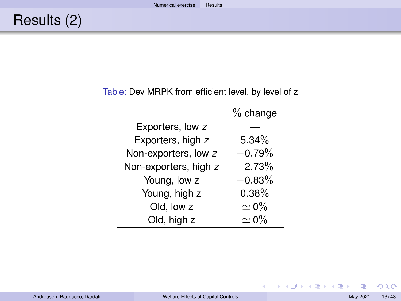#### Table: Dev MRPK from efficient level, by level of z

|                       | $%$ change  |
|-----------------------|-------------|
| Exporters, low z      |             |
| Exporters, high z     | $5.34\%$    |
| Non-exporters, low z  | $-0.79%$    |
| Non-exporters, high z | $-2.73%$    |
| Young, low z          | $-0.83%$    |
| Young, high z         | 0.38%       |
| Old, low z            | $\simeq$ 0% |
| Old, high z           | $\simeq$ 0% |

E

 $299$ 

イロトメ 倒 トメ 君 トメ 君 トー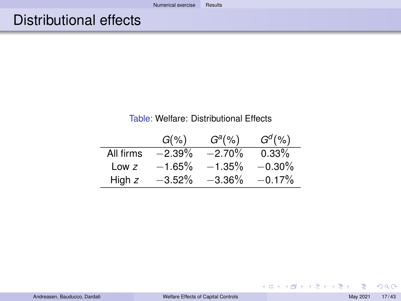#### Table: Welfare: Distributional Effects

|           | $G(\%)$   | $Ga(\%)$  | $G^d(\% )$ |
|-----------|-----------|-----------|------------|
| All firms | $-2.39\%$ | $-2.70%$  | $0.33\%$   |
| Low $z$   | $-1.65%$  | $-1.35%$  | $-0.30\%$  |
| High z    | $-3.52%$  | $-3.36\%$ | $-0.17%$   |

E

 $2990$ 

イロトメ 倒 トメ 君 トメ 君 トー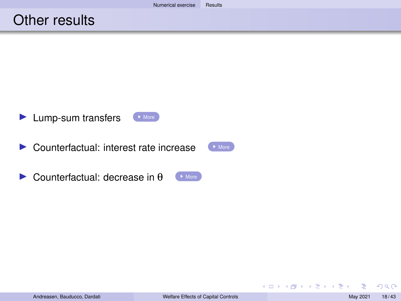#### Other results

- <span id="page-19-0"></span>**In Lump-sum transfers [More](#page-38-0)**
- $\triangleright$  Counterfactual: interest rate increase  $\triangleright$  [More](#page-39-0)
- $\triangleright$  Counterfactual: decrease in  $\theta$

 $2Q$ 

メロトメ 御 トメ 君 トメ 君 ト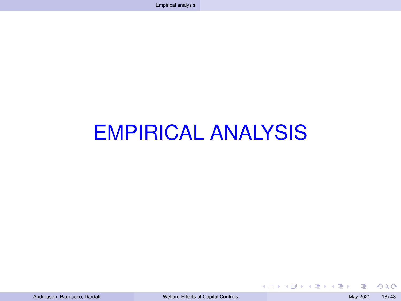# <span id="page-20-0"></span>EMPIRICAL ANALYSIS

 $2Q$ 

**K ロ ▶ K 御 ▶ K ヨ ▶ K ヨ ▶**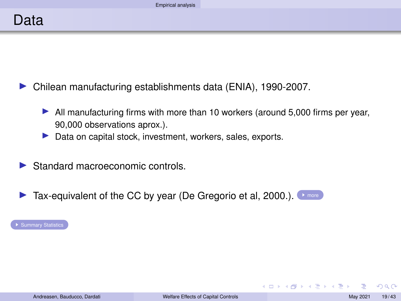<span id="page-21-0"></span>I Chilean manufacturing establishments data (ENIA), 1990-2007.

- $\blacktriangleright$  All manufacturing firms with more than 10 workers (around 5,000 firms per year, 90,000 observations aprox.).
- $\blacktriangleright$  Data on capital stock, investment, workers, sales, exports.
- $\blacktriangleright$  Standard macroeconomic controls.
- $\blacktriangleright$  Tax-equivalent of the CC by year (De Gregorio et al, 2000.).  $\blacktriangleright$  [more](#page-31-0)

**[Summary Statistics](#page-29-0)** 

 $\Omega$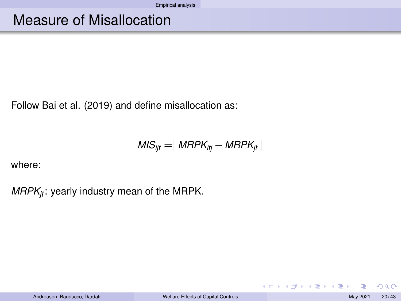### Measure of Misallocation

Follow Bai et al. (2019) and define misallocation as:

$$
MIS_{ijt} = | \; MRPK_{itj} - \overline{MRPK_{jt}} \; |
$$

where:

 $\overline{MRPK_{it}}$ : yearly industry mean of the MRPK.

 $2Q$ 

メロトメ 御 トメ 君 トメ 君 トッ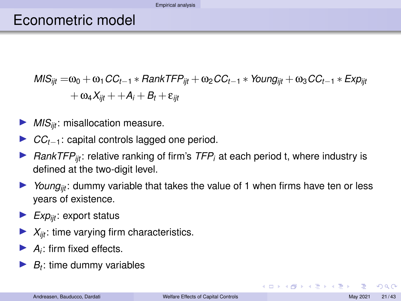#### [Empirical analysis](#page-20-0)

#### Econometric model

$$
MIS_{ijt} = \omega_0 + \omega_1 CC_{t-1} * RankTFP_{ijt} + \omega_2 CC_{t-1} * Young_{ijt} + \omega_3 CC_{t-1} * Exp_{ijt}
$$
  
+ 
$$
\omega_4 X_{ijt} + A_i + B_t + \varepsilon_{ijt}
$$

- *MIS<sub>iit</sub>*: misallocation measure.
- I *CCt*−1: capital controls lagged one period.
- *RankTFP<sub>ijt</sub>*: relative ranking of firm's *TFP<sub>i</sub>* at each period t, where industry is defined at the two-digit level.
- $\triangleright$  *Young<sub>it</sub>*: dummy variable that takes the value of 1 when firms have ten or less years of existence.
- $\blacktriangleright$  *Exp<sub>iit</sub>*: export status
- $X_{\text{int}}$ : time varying firm characteristics.
- $\blacktriangleright$  *A<sub>i</sub>*: firm fixed effects.
- $\blacktriangleright$  *B*<sub>t</sub>: time dummy variables

つひひ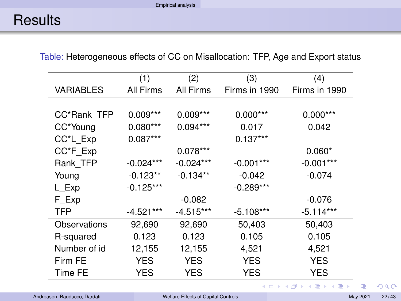### <span id="page-24-0"></span>**Results**

Table: Heterogeneous effects of CC on Misallocation: TFP, Age and Export status

|              | (1)         | (2)         | (3)           | (4)           |
|--------------|-------------|-------------|---------------|---------------|
| VARIABLES    | All Firms   | All Firms   | Firms in 1990 | Firms in 1990 |
|              |             |             |               |               |
| CC*Rank TFP  | $0.009***$  | $0.009***$  | $0.000***$    | $0.000***$    |
| CC*Young     | $0.080***$  | $0.094***$  | 0.017         | 0.042         |
| CC*L Exp     | $0.087***$  |             | $0.137***$    |               |
| CC*F Exp     |             | $0.078***$  |               | $0.060*$      |
| Rank TFP     | $-0.024***$ | $-0.024***$ | $-0.001***$   | $-0.001***$   |
| Young        | $-0.123**$  | $-0.134**$  | $-0.042$      | $-0.074$      |
| L Exp        | $-0.125***$ |             | $-0.289***$   |               |
| F Exp        |             | $-0.082$    |               | $-0.076$      |
| TFP          | $-4.521***$ | $-4.515***$ | $-5.108***$   | $-5.114***$   |
| Observations | 92,690      | 92,690      | 50,403        | 50,403        |
| R-squared    | 0.123       | 0.123       | 0.105         | 0.105         |
| Number of id | 12,155      | 12,155      | 4,521         | 4,521         |
| Firm FE      | YES         | YES         | <b>YES</b>    | YES           |
| Time FE      | YES         | YES         | YES           | YES           |

 $299$ 

イロトメ 倒 トメ 君 トメ 君 トー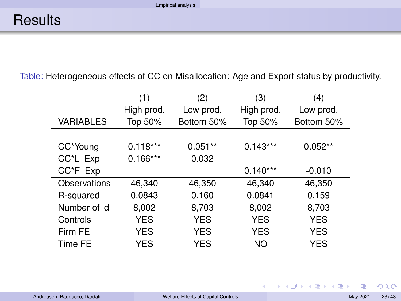Table: Heterogeneous effects of CC on Misallocation: Age and Export status by productivity.

|                  | (1)        | (2)        | (3)        | (4)        |
|------------------|------------|------------|------------|------------|
|                  | High prod. | Low prod.  | High prod. | Low prod.  |
| <b>VARIABLES</b> | Top 50%    | Bottom 50% | Top 50%    | Bottom 50% |
|                  |            |            |            |            |
| CC*Young         | $0.118***$ | $0.051**$  | $0.143***$ | $0.052**$  |
| CC*L Exp         | $0.166***$ | 0.032      |            |            |
| CC*F_Exp         |            |            | $0.140***$ | $-0.010$   |
| Observations     | 46.340     | 46,350     | 46,340     | 46,350     |
| R-squared        | 0.0843     | 0.160      | 0.0841     | 0.159      |
| Number of id     | 8.002      | 8,703      | 8,002      | 8,703      |
| Controls         | <b>YES</b> | <b>YES</b> | <b>YES</b> | <b>YES</b> |
| Firm FF          | <b>YES</b> | <b>YES</b> | <b>YES</b> | <b>YES</b> |
| Time FE          | YES        | <b>YES</b> | NΟ         | <b>YES</b> |

E

**K ロ ト K 個 ト K 君 ト K 君 ト** …

 $299$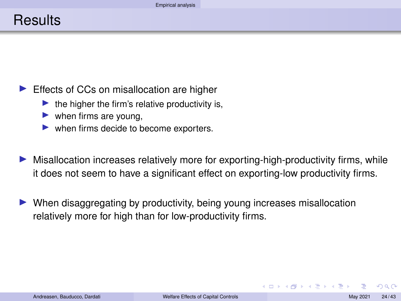#### Effects of CCs on misallocation are higher

- the higher the firm's relative productivity is,
- $\blacktriangleright$  when firms are young,
- $\blacktriangleright$  when firms decide to become exporters.

Misallocation increases relatively more for exporting-high-productivity firms, while it does not seem to have a significant effect on exporting-low productivity firms.

I When disaggregating by productivity, being young increases misallocation relatively more for high than for low-productivity firms.

つひひ

**≮ロト ⊀ 伊 ト ⊀ ヨ ト ⊀ ヨ ト**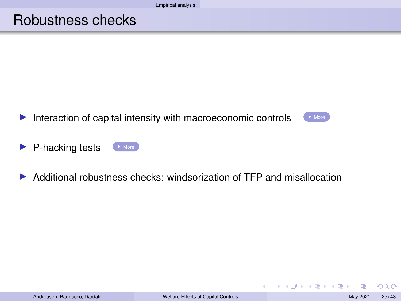#### Robustness checks

<span id="page-27-0"></span>Interaction of capital intensity with macroeconomic controls  $\Box$  [More](#page-41-0)



イロト イ団 トイモト イモト

- $\blacktriangleright$  P-hacking tests  $\blacktriangleright$  [More](#page-43-0)
- $\triangleright$  Additional robustness checks: windsorization of TFP and misallocation

 $2Q$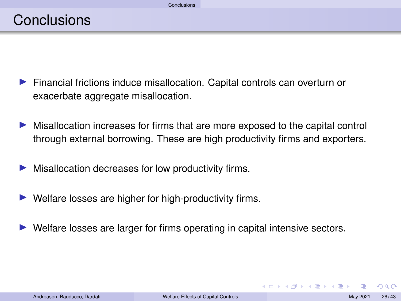- <span id="page-28-0"></span>**Financial frictions induce misallocation. Capital controls can overturn or** exacerbate aggregate misallocation.
- In Misallocation increases for firms that are more exposed to the capital control through external borrowing. These are high productivity firms and exporters.
- Misallocation decreases for low productivity firms.
- $\blacktriangleright$  Welfare losses are higher for high-productivity firms.
- Welfare losses are larger for firms operating in capital intensive sectors.

つひひ

**≮ロト ⊀ 伊 ト ⊀ ヨ ト ⊀ ヨ ト**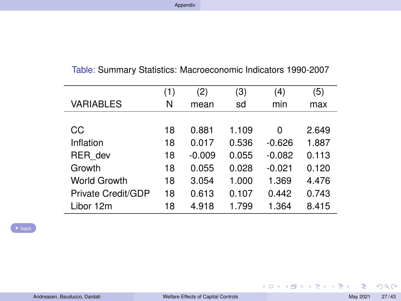<span id="page-29-1"></span><span id="page-29-0"></span>

|  |  | Table: Summary Statistics: Macroeconomic Indicators 1990-2007 |  |  |
|--|--|---------------------------------------------------------------|--|--|
|--|--|---------------------------------------------------------------|--|--|

|                    | (1) | (2)      | (3)   | (4)      | (5)   |
|--------------------|-----|----------|-------|----------|-------|
| VARIABLES          | N   | mean     | sd    | min      | max   |
|                    |     |          |       |          |       |
| CС                 | 18  | 0.881    | 1.109 | 0        | 2.649 |
| Inflation          | 18  | 0.017    | 0.536 | $-0.626$ | 1.887 |
| RER dev            | 18  | $-0.009$ | 0.055 | $-0.082$ | 0.113 |
| Growth             | 18  | 0.055    | 0.028 | $-0.021$ | 0.120 |
| World Growth       | 18  | 3.054    | 1.000 | 1.369    | 4.476 |
| Private Credit/GDP | 18  | 0.613    | 0.107 | 0.442    | 0.743 |
| Libor 12m          | 18  | 4.918    | 1.799 | 1.364    | 8.415 |

 $\rightarrow$  [back](#page-21-0)

 $QQ$ 

メロトメ団 トメミトメミト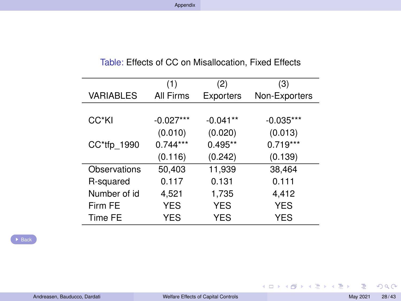|                  | (1)         | (2)        | (3)           |
|------------------|-------------|------------|---------------|
| <b>VARIABLES</b> | All Firms   | Exporters  | Non-Exporters |
|                  |             |            |               |
| CC*KI            | $-0.027***$ | $-0.041**$ | $-0.035***$   |
|                  | (0.010)     | (0.020)    | (0.013)       |
| CC*tfp 1990      | $0.744***$  | $0.495**$  | $0.719***$    |
|                  | (0.116)     | (0.242)    | (0.139)       |
| Observations     | 50,403      | 11,939     | 38,464        |
| R-squared        | 0.117       | 0.131      | 0.111         |
| Number of id     | 4,521       | 1,735      | 4,412         |
| Firm FF          | <b>YES</b>  | <b>YES</b> | <b>YES</b>    |
| Time FE          | YES         | <b>YES</b> | YES           |

Table: Effects of CC on Misallocation, Fixed Effects

E

 $299$ 

メロトメ 御 トメ 君 トメ 君 ト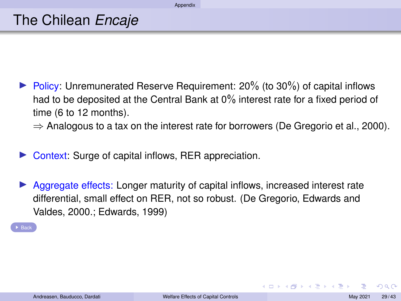<span id="page-31-0"></span> $\triangleright$  Policy: Unremunerated Reserve Requirement: 20% (to 30%) of capital inflows had to be deposited at the Central Bank at 0% interest rate for a fixed period of time (6 to 12 months).

 $\Rightarrow$  Analogous to a tax on the interest rate for borrowers (De Gregorio et al., 2000).

- Context: Surge of capital inflows, RER appreciation.
- Aggregate effects: Longer maturity of capital inflows, increased interest rate differential, small effect on RER, not so robust. (De Gregorio, Edwards and Valdes, 2000.; Edwards, 1999)

 $\overline{B}$  [Back](#page-21-0)

つひひ

**≮ロト ⊀ 伊 ト ⊀ ヨ ト ⊀ ヨ ト**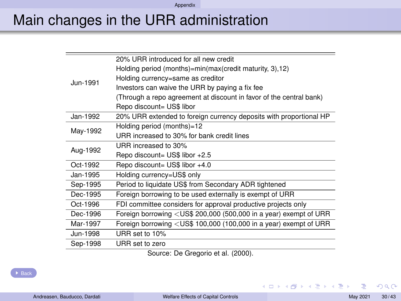[Appendix](#page-29-1)

## Main changes in the URR administration

|          | 20% URR introduced for all new credit                               |
|----------|---------------------------------------------------------------------|
|          | Holding period (months)=min(max(credit maturity, 3),12)             |
| Jun-1991 | Holding currency=same as creditor                                   |
|          | Investors can waive the URR by paying a fix fee                     |
|          | (Through a repo agreement at discount in favor of the central bank) |
|          | Repo discount= US\$ libor                                           |
| Jan-1992 | 20% URR extended to foreign currency deposits with proportional HP  |
|          | Holding period (months)=12                                          |
| May-1992 | URR increased to 30% for bank credit lines                          |
| Aug-1992 | URR increased to 30%                                                |
|          | Repo discount= US\$ libor +2.5                                      |
| Oct-1992 | Repo discount= US\$ libor +4.0                                      |
| Jan-1995 | Holding currency=US\$ only                                          |
| Sep-1995 | Period to liquidate US\$ from Secondary ADR tightened               |
| Dec-1995 | Foreign borrowing to be used externally is exempt of URR            |
| Oct-1996 | FDI committee considers for approval productive projects only       |
| Dec-1996 | Foreign borrowing < US\$ 200,000 (500,000 in a year) exempt of URR  |
| Mar-1997 | Foreign borrowing < US\$ 100,000 (100,000 in a year) exempt of URR  |
| Jun-1998 | URR set to 10%                                                      |
| Sep-1998 | URR set to zero                                                     |
|          |                                                                     |

Source: De Gregorio et al. (2000).

 $\overline{B}$  [Back](#page-21-0)

 $2Q$ 

イロンス 個 メスミンス ミン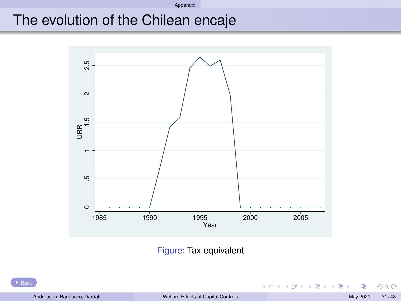#### [Appendix](#page-29-1)

## The evolution of the Chilean encaje



Figure: Tax equivalent

 $2Q$ 

イロト イ押ト イヨト イヨト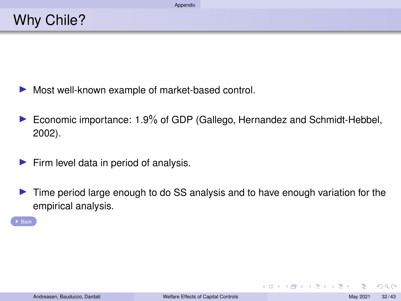- $\blacktriangleright$  Most well-known example of market-based control.
- ▶ Economic importance: 1.9% of GDP (Gallego, Hernandez and Schmidt-Hebbel, 2002).
- $\blacktriangleright$  Firm level data in period of analysis.
- In Time period large enough to do SS analysis and to have enough variation for the empirical analysis.

 $\rightarrow$  [Back](#page-21-0)

 $\Omega$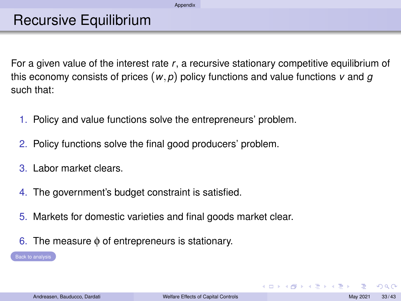### Recursive Equilibrium

<span id="page-35-0"></span>For a given value of the interest rate *r*, a recursive stationary competitive equilibrium of this economy consists of prices (*w*,*p*) policy functions and value functions *v* and *g* such that:

- 1. Policy and value functions solve the entrepreneurs' problem.
- 2. Policy functions solve the final good producers' problem.
- 3. Labor market clears.
- 4. The government's budget constraint is satisfied.
- 5. Markets for domestic varieties and final goods market clear.
- 6. The measure φ of entrepreneurs is stationary.

 $\Omega$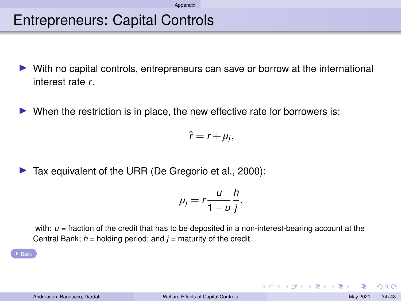### Entrepreneurs: Capital Controls

- <span id="page-36-0"></span>With no capital controls, entrepreneurs can save or borrow at the international interest rate *r*.
- $\triangleright$  When the restriction is in place, the new effective rate for borrowers is:

 $\hat{r} = r + \mu_j$ 

 $\blacktriangleright$  Tax equivalent of the URR (De Gregorio et al., 2000):

$$
\mu_j=r\frac{u}{1-u}\frac{h}{j},
$$

with:  $u =$  fraction of the credit that has to be deposited in a non-interest-bearing account at the Central Bank; *h* = holding period; and *j* = maturity of the credit.

 $\Omega$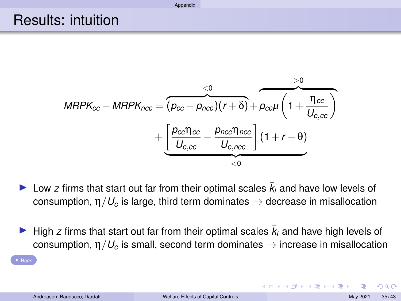**[Appendix](#page-29-1)** 

#### <span id="page-37-0"></span>Results: intuition

$$
MRPK_{cc} - MRPK_{ncc} = \underbrace{(p_{cc} - p_{ncc})(r+\delta)}_{U_{c,cc}} + \underbrace{\left(\frac{p_{cc} \eta_{cc}}{U_{c,cc}} - \frac{p_{nc} \eta_{ncc}}{U_{c,ncc}}\right)}_{\leq 0} (1 + r - \theta)
$$

- I Low *z* firms that start out far from their optimal scales  $\bar{k}_i$  and have low levels of consumption,  $\eta/U_c$  is large, third term dominates  $\rightarrow$  decrease in misallocation
- High *z* firms that start out far from their optimal scales  $\bar{k}_i$  and have high levels of consumption,  $\eta/U_c$  is small, second term dominates  $\rightarrow$  increase in misallocation

 $\rightarrow$  [Back](#page-16-1)

 $\Omega$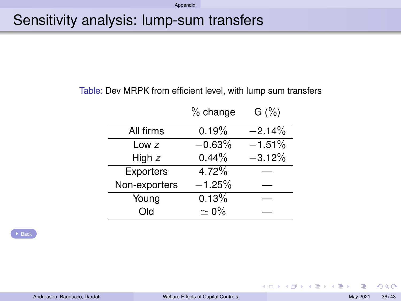## <span id="page-38-0"></span>Sensitivity analysis: lump-sum transfers

#### Table: Dev MRPK from efficient level, with lump sum transfers

|               | % change    | G(%)      |
|---------------|-------------|-----------|
| All firms     | 0.19%       | $-2.14%$  |
| Low $z$       | $-0.63%$    | $-1.51\%$ |
| High $z$      | 0.44%       | $-3.12%$  |
| Exporters     | 4.72%       |           |
| Non-exporters | $-1.25%$    |           |
| Young         | 0.13%       |           |
| Old           | $\simeq$ 0% |           |

 $\blacktriangleright$  [Back](#page-19-0)

 $2Q$ 

イロメ 不優 トメ 差 トメ 差 トー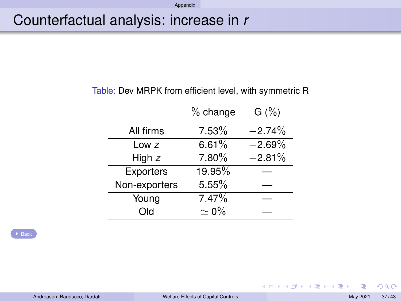#### [Appendix](#page-29-1)

### <span id="page-39-0"></span>Counterfactual analysis: increase in *r*

#### Table: Dev MRPK from efficient level, with symmetric R

|               | $%$ change  | G(%)     |
|---------------|-------------|----------|
| All firms     | 7.53%       | $-2.74%$ |
| Low $z$       | 6.61%       | $-2.69%$ |
| High $z$      | $7.80\%$    | $-2.81%$ |
| Exporters     | 19.95%      |          |
| Non-exporters | 5.55%       |          |
| Young         | 7.47%       |          |
| Old           | $\simeq$ 0% |          |

 $\triangleright$  [Back](#page-19-0)

 $2Q$ 

イロト イ団 トイモト イモト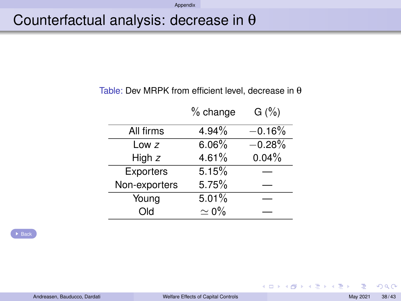#### [Appendix](#page-29-1)

### <span id="page-40-0"></span>Counterfactual analysis: decrease in θ

#### Table: Dev MRPK from efficient level, decrease in θ

|               | $%$ change  | G(%)     |
|---------------|-------------|----------|
| All firms     | 4.94%       | $-0.16%$ |
| Low $z$       | 6.06%       | $-0.28%$ |
| High $z$      | 4.61%       | 0.04%    |
| Exporters     | 5.15%       |          |
| Non-exporters | 5.75%       |          |
| Young         | 5.01%       |          |
| Old           | $\simeq$ 0% |          |

 $\triangleright$  [Back](#page-19-0)

 $2Q$ 

メロトメ 御 トメ 君 トメ 君 ト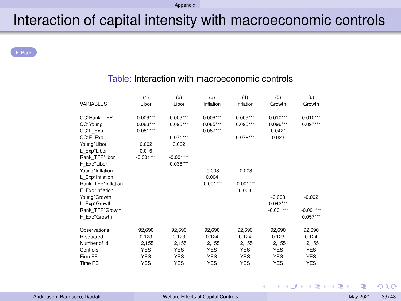## Interaction of capital intensity with macroeconomic controls

<span id="page-41-0"></span>**[Back](#page-27-0)** 

|                    | (1)         | (2)         | (3)         | (4)         | (5)         | (6)         |
|--------------------|-------------|-------------|-------------|-------------|-------------|-------------|
| VARIABLES          | Libor       | Libor       | Inflation   | Inflation   | Growth      | Growth      |
|                    |             |             |             |             |             |             |
| CC*Rank TFP        | $0.009***$  | $0.009***$  | $0.009***$  | $0.009***$  | $0.010***$  | $0.010***$  |
| CC*Young           | $0.083***$  | $0.095***$  | $0.085***$  | $0.095***$  | $0.096***$  | $0.097***$  |
| CC*L Exp           | $0.081***$  |             | $0.087***$  |             | $0.042*$    |             |
| CC*F Exp           |             | $0.071***$  |             | $0.078***$  | 0.023       |             |
| Young*Libor        | 0.002       | 0.002       |             |             |             |             |
| L Exp*Libor        | 0.016       |             |             |             |             |             |
| Rank TFP*libor     | $-0.001***$ | $-0.001***$ |             |             |             |             |
| F Exp*Libor        |             | $0.036***$  |             |             |             |             |
| Young*Inflation    |             |             | $-0.003$    | $-0.003$    |             |             |
| L Exp*Inflation    |             |             | 0.004       |             |             |             |
| Rank TFP*Inflation |             |             | $-0.001***$ | $-0.001***$ |             |             |
| F Exp*Inflation    |             |             |             | 0.008       |             |             |
| Young*Growth       |             |             |             |             | $-0.008$    | $-0.002$    |
| L Exp*Growth       |             |             |             |             | $0.042***$  |             |
| Rank TFP*Growth    |             |             |             |             | $-0.001***$ | $-0.001***$ |
| F Exp*Growth       |             |             |             |             |             | $0.057***$  |
|                    |             |             |             |             |             |             |
| Observations       | 92.690      | 92.690      | 92.690      | 92.690      | 92.690      | 92.690      |
| R-squared          | 0.123       | 0.123       | 0.124       | 0.124       | 0.123       | 0.124       |
| Number of id       | 12,155      | 12,155      | 12,155      | 12,155      | 12,155      | 12,155      |
| Controls           | <b>YES</b>  | <b>YES</b>  | YES         | <b>YES</b>  | <b>YES</b>  | <b>YES</b>  |
| Firm FF            | <b>YES</b>  | <b>YES</b>  | <b>YES</b>  | <b>YES</b>  | <b>YES</b>  | <b>YES</b>  |
| Time FE            | <b>YES</b>  | <b>YES</b>  | <b>YES</b>  | <b>YES</b>  | <b>YES</b>  | <b>YES</b>  |

#### Table: Interaction with macroeconomic controls

 $2Q$ 

**K ロ ト K 個 ト K 君 ト K 君 ト** …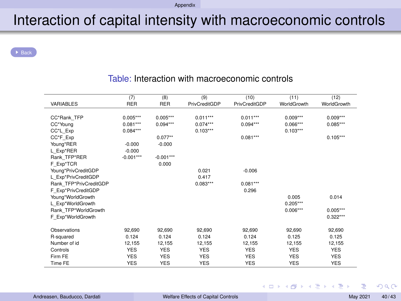#### [Appendix](#page-29-1)

## Interaction of capital intensity with macroeconomic controls

[Back](#page-27-0)

| <b>VARIABLES</b>       | (7)<br><b>RER</b> | (8)<br><b>RER</b> | (9)<br>PrivCreditGDP | (10)<br>PrivCreditGDP | (11)<br>WorldGrowth | (12)<br>WorldGrowth |
|------------------------|-------------------|-------------------|----------------------|-----------------------|---------------------|---------------------|
|                        |                   |                   |                      |                       |                     |                     |
| CC*Rank TFP            | $0.005***$        | $0.005***$        | $0.011***$           | $0.011***$            | $0.009***$          | $0.009***$          |
| CC*Young               | $0.081***$        | $0.094***$        | $0.074***$           | $0.094***$            | $0.066***$          | $0.085***$          |
| CC*L_Exp               | $0.084***$        |                   | $0.103***$           |                       | $0.103***$          |                     |
| CC*F Exp               |                   | $0.077**$         |                      | $0.081***$            |                     | $0.105***$          |
| Young*RER              | $-0.000$          | $-0.000$          |                      |                       |                     |                     |
| L Exp*RER              | $-0.000$          |                   |                      |                       |                     |                     |
| Rank TFP*RER           | $-0.001***$       | $-0.001***$       |                      |                       |                     |                     |
| F_Exp*TCR              |                   | 0.000             |                      |                       |                     |                     |
| Young*PrivCreditGDP    |                   |                   | 0.021                | $-0.006$              |                     |                     |
| L Exp*PrivCreditGDP    |                   |                   | 0.417                |                       |                     |                     |
| Rank TFP*PrivCreditGDP |                   |                   | $0.083***$           | $0.081***$            |                     |                     |
| F Exp*PrivCreditGDP    |                   |                   |                      | 0.296                 |                     |                     |
| Young*WorldGrowth      |                   |                   |                      |                       | 0.005               | 0.014               |
| L Exp*WorldGrowth      |                   |                   |                      |                       | $0.205***$          |                     |
| Rank TFP*WorldGrowth   |                   |                   |                      |                       | $0.006***$          | $0.005***$          |
| F Exp*WorldGrowth      |                   |                   |                      |                       |                     | $0.322***$          |
| Observations           | 92,690            | 92.690            | 92,690               | 92,690                | 92,690              | 92,690              |
| R-squared              | 0.124             | 0.124             | 0.124                | 0.124                 | 0.125               | 0.125               |
| Number of id           | 12,155            | 12,155            | 12,155               | 12,155                | 12,155              | 12,155              |
| Controls               | <b>YES</b>        | <b>YES</b>        | <b>YES</b>           | <b>YES</b>            | <b>YES</b>          | <b>YES</b>          |
| Firm FF                | <b>YES</b>        | <b>YES</b>        | <b>YES</b>           | <b>YES</b>            | <b>YES</b>          | <b>YES</b>          |
| Time FE                | <b>YES</b>        | <b>YES</b>        | <b>YES</b>           | <b>YES</b>            | <b>YES</b>          | <b>YES</b>          |

#### Table: Interaction with macroeconomic controls

 $2Q$ 

**K ロ ▶ K 御 ▶ K ヨ ▶ K ヨ ▶**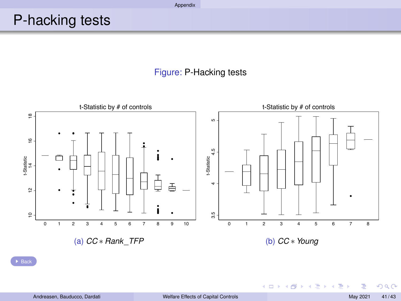## <span id="page-43-0"></span>P-hacking tests





▶ [Back](#page-27-0)

イロト イ押ト イヨト イヨト

 $290$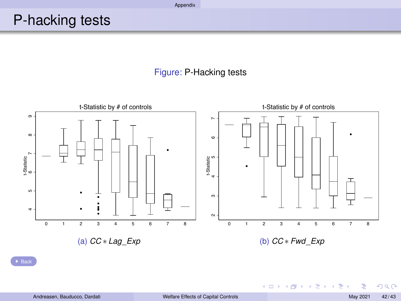## P-hacking tests

#### Figure: P-Hacking tests



▶ [Back](#page-27-0)

 $2Q$ 

メロトメ部 トメモトメモト